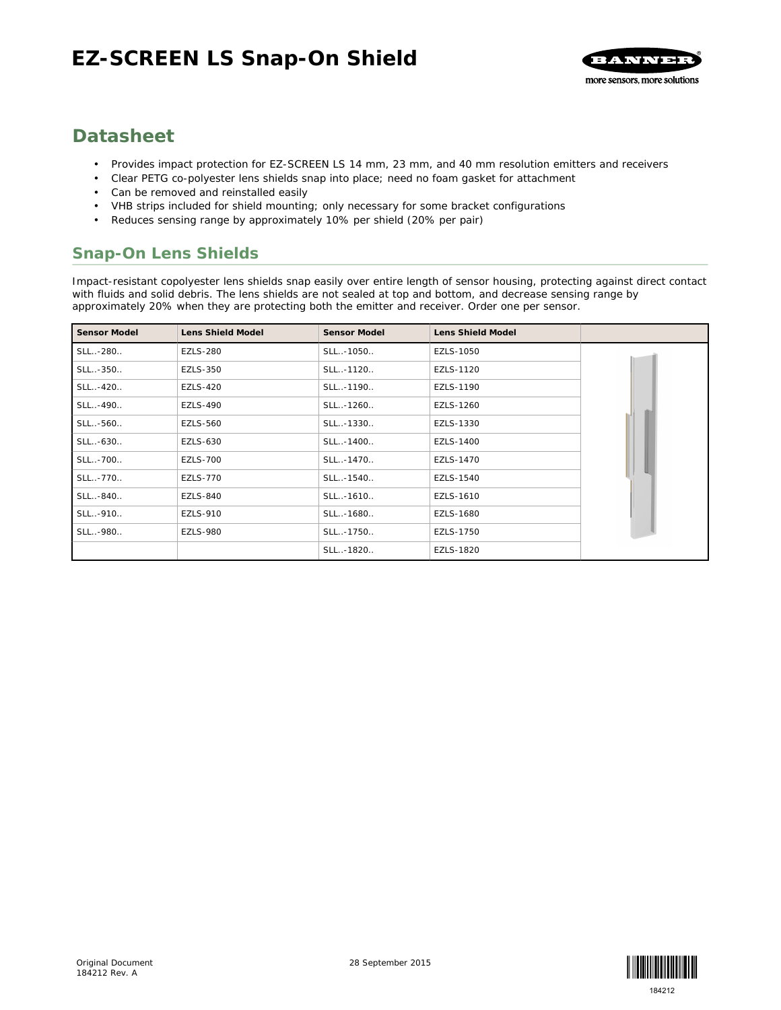

# **Datasheet**

- Provides impact protection for EZ-SCREEN LS 14 mm, 23 mm, and 40 mm resolution emitters and receivers
- Clear PETG co-polyester lens shields snap into place; need no foam gasket for attachment
- Can be removed and reinstalled easily
- VHB strips included for shield mounting; only necessary for some bracket configurations
- Reduces sensing range by approximately 10% per shield (20% per pair)

#### **Snap-On Lens Shields**

Impact-resistant copolyester lens shields snap easily over entire length of sensor housing, protecting against direct contact with fluids and solid debris. The lens shields are not sealed at top and bottom, and decrease sensing range by approximately 20% when they are protecting both the emitter and receiver. Order one per sensor.

| Sensor Model | Lens Shield Model | Sensor Model | Lens Shield Model |  |
|--------------|-------------------|--------------|-------------------|--|
| SLL-280      | <b>EZLS-280</b>   | SLL-1050     | EZLS-1050         |  |
| SLL-350      | EZLS-350          | SLL-1120     | EZLS-1120         |  |
| SLL-420      | <b>EZLS-420</b>   | SLL-1190     | EZLS-1190         |  |
| SLL-490      | <b>EZLS-490</b>   | SLL-1260     | EZLS-1260         |  |
| SLL-560      | <b>EZLS-560</b>   | SLL-1330     | EZLS-1330         |  |
| SLL-630      | EZLS-630          | SLL-1400     | EZLS-1400         |  |
| SLL-700      | <b>EZLS-700</b>   | SLL-1470     | EZLS-1470         |  |
| SLL-770      | <b>EZLS-770</b>   | SLL-1540     | EZLS-1540         |  |
| SLL-840      | <b>EZLS-840</b>   | SLL-1610     | EZLS-1610         |  |
| SLL-910      | <b>EZLS-910</b>   | SLL-1680     | EZLS-1680         |  |
| SLL-980      | <b>EZLS-980</b>   | SLL-1750     | EZLS-1750         |  |
|              |                   | SLL-1820     | EZLS-1820         |  |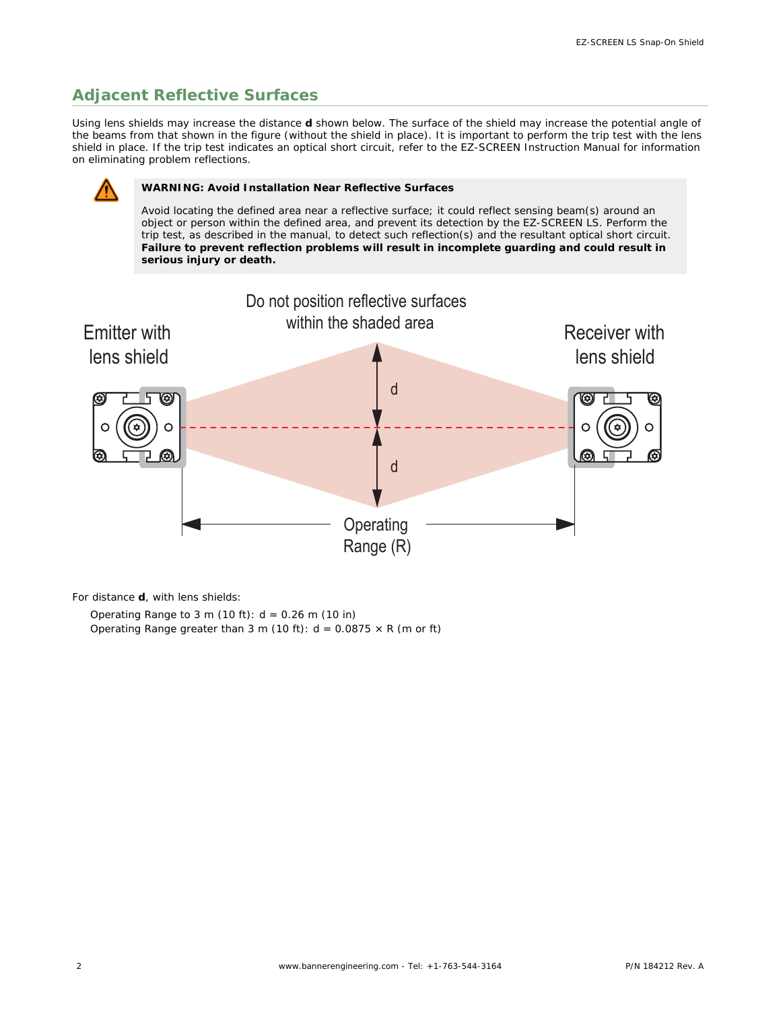## **Adjacent Reflective Surfaces**

Using lens shields may increase the distance *d* shown below. The surface of the shield may increase the potential angle of the beams from that shown in the figure (without the shield in place). It is important to perform the trip test with the lens shield in place. If the trip test indicates an optical short circuit, refer to the EZ-SCREEN Instruction Manual for information on eliminating problem reflections.



#### **WARNING: Avoid Installation Near Reflective Surfaces**

Avoid locating the defined area near a reflective surface; it could reflect sensing beam(s) around an object or person within the defined area, and prevent its detection by the EZ-SCREEN LS. Perform the trip test, as described in the manual, to detect such reflection(s) and the resultant optical short circuit. **Failure to prevent reflection problems will result in incomplete guarding and could result in serious injury or death.**



For distance *d*, with lens shields:

Operating Range to 3 m (10 ft):  $d = 0.26$  m (10 in) Operating Range greater than 3 m (10 ft):  $d = 0.0875 \times R$  (m or ft)